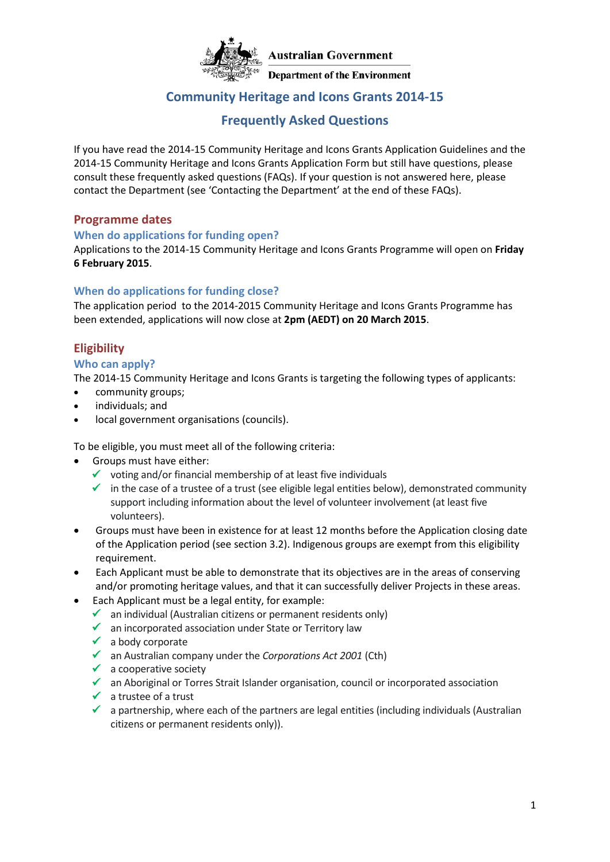

# **Community Heritage and Icons Grants 2014-15**

# **Frequently Asked Questions**

If you have read the 2014-15 Community Heritage and Icons Grants Application Guidelines and the 2014-15 Community Heritage and Icons Grants Application Form but still have questions, please consult these frequently asked questions (FAQs). If your question is not answered here, please contact the Department (see 'Contacting the Department' at the end of these FAQs).

#### **Programme dates**

#### **When do applications for funding open?**

Applications to the 2014-15 Community Heritage and Icons Grants Programme will open on **Friday 6 February 2015**.

#### **When do applications for funding close?**

The application period to the 2014-2015 Community Heritage and Icons Grants Programme has been extended, applications will now close at **2pm (AEDT) on 20 March 2015**.

# **Eligibility**

#### **Who can apply?**

The 2014-15 Community Heritage and Icons Grants is targeting the following types of applicants:

- community groups;
- individuals; and
- local government organisations (councils).

To be eligible, you must meet all of the following criteria:

- Groups must have either:
	- $\checkmark$  voting and/or financial membership of at least five individuals
	- $\checkmark$  in the case of a trustee of a trust (see eligible legal entities below), demonstrated community support including information about the level of volunteer involvement (at least five volunteers).
- Groups must have been in existence for at least 12 months before the Application closing date of the Application period (see section 3.2). Indigenous groups are exempt from this eligibility requirement.
- Each Applicant must be able to demonstrate that its objectives are in the areas of conserving and/or promoting heritage values, and that it can successfully deliver Projects in these areas.
- Each Applicant must be a legal entity, for example:
	- $\checkmark$  an individual (Australian citizens or permanent residents only)
	- $\checkmark$  an incorporated association under State or Territory law
	- $\checkmark$  a body corporate
	- an Australian company under the *Corporations Act 2001* (Cth)
	- $\checkmark$  a cooperative society
	- $\checkmark$  an Aboriginal or Torres Strait Islander organisation, council or incorporated association
	- $\checkmark$  a trustee of a trust
	- $\checkmark$  a partnership, where each of the partners are legal entities (including individuals (Australian citizens or permanent residents only)).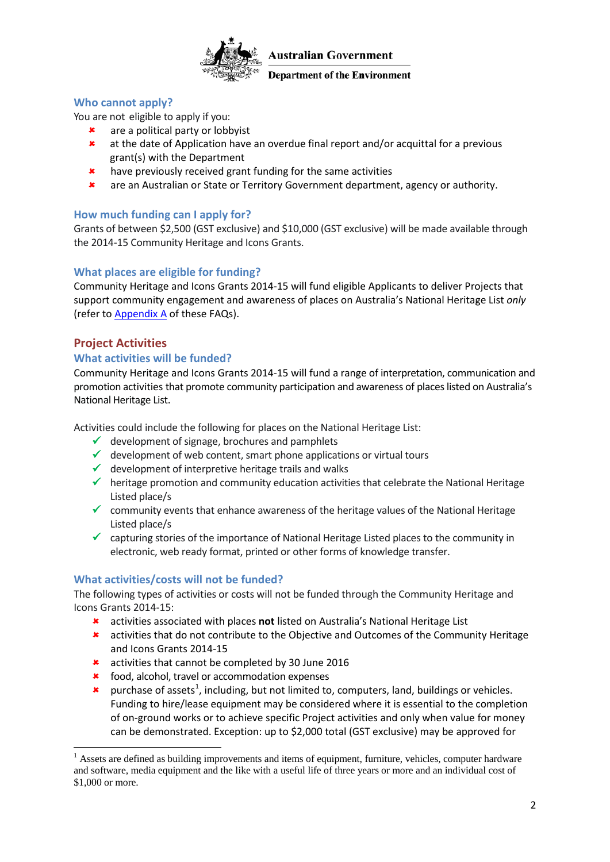

#### **Department of the Environment**

#### **[Who cannot apply?](http://www.nrm.gov.au/funding/cag/faq.html)**

You are not eligible to apply if you:

- **\*** are a political party or lobbyist
- at the date of Application have an overdue final report and/or acquittal for a previous grant(s) with the Department
- **\*** have previously received grant funding for the same activities
- are an Australian or State or Territory Government department, agency or authority.

#### **How much funding can I apply fo[r?](http://www.nrm.gov.au/funding/cag/faq.html)**

Grants of between \$2,500 (GST exclusive) and \$10,000 (GST exclusive) will be made available through the 2014-15 Community Heritage and Icons Grants.

#### **What places are eligible for fundin[g?](http://www.nrm.gov.au/funding/cag/faq.html)**

Community Heritage and Icons Grants 2014-15 will fund eligible Applicants to deliver Projects that support community engagement and awareness of places on Australia's National Heritage List *only* (refer to [Appendix A](#page-8-0) of these FAQs).

#### **Project Activities**

**.** 

#### **[What activities will be funded?](http://www.nrm.gov.au/funding/cag/faq.html)**

Community Heritage and Icons Grants 2014-15 will fund a range of interpretation, communication and promotion activities that promote community participation and awareness of places listed on Australia's National Heritage List.

Activities could include the following for places on the National Heritage List:

- $\checkmark$  development of signage, brochures and pamphlets
- $\checkmark$  development of web content, smart phone applications or virtual tours
- $\checkmark$  development of interpretive heritage trails and walks
- $\checkmark$  heritage promotion and community education activities that celebrate the National Heritage Listed place/s
- $\checkmark$  community events that enhance awareness of the heritage values of the National Heritage Listed place/s
- $\checkmark$  capturing stories of the importance of National Heritage Listed places to the community in electronic, web ready format, printed or other forms of knowledge transfer.

#### **What activities/costs will not be funded?**

The following types of activities or costs will not be funded through the Community Heritage and Icons Grants 2014-15:

- activities associated with places **not** listed on Australia's National Heritage List
- activities that do not contribute to the Objective and Outcomes of the Community Heritage and Icons Grants 2014-15
- \* activities that cannot be completed by 30 June 2016
- **\*** food, alcohol, travel or accommodation expenses
- **\*** purchase of assets<sup>[1](#page-1-0)</sup>, including, but not limited to, computers, land, buildings or vehicles. Funding to hire/lease equipment may be considered where it is essential to the completion of on-ground works or to achieve specific Project activities and only when value for money can be demonstrated. Exception: up to \$2,000 total (GST exclusive) may be approved for

<span id="page-1-0"></span><sup>&</sup>lt;sup>1</sup> Assets are defined as building improvements and items of equipment, furniture, vehicles, computer hardware and software, media equipment and the like with a useful life of three years or more and an individual cost of \$1,000 or more.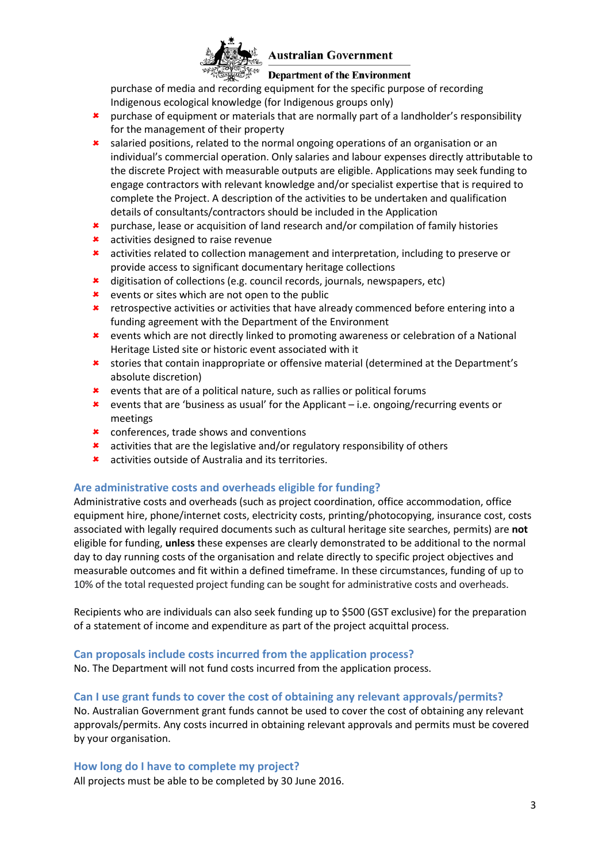

#### **Department of the Environment**

purchase of media and recording equipment for the specific purpose of recording Indigenous ecological knowledge (for Indigenous groups only)

- **\*** purchase of equipment or materials that are normally part of a landholder's responsibility for the management of their property
- **\*** salaried positions, related to the normal ongoing operations of an organisation or an individual's commercial operation. Only salaries and labour expenses directly attributable to the discrete Project with measurable outputs are eligible. Applications may seek funding to engage contractors with relevant knowledge and/or specialist expertise that is required to complete the Project. A description of the activities to be undertaken and qualification details of consultants/contractors should be included in the Application
- purchase, lease or acquisition of land research and/or compilation of family histories
- **\*** activities designed to raise revenue
- \* activities related to collection management and interpretation, including to preserve or provide access to significant documentary heritage collections
- \* digitisation of collections (e.g. council records, journals, newspapers, etc)
- **\*** events or sites which are not open to the public
- retrospective activities or activities that have already commenced before entering into a funding agreement with the Department of the Environment
- events which are not directly linked to promoting awareness or celebration of a National Heritage Listed site or historic event associated with it
- stories that contain inappropriate or offensive material (determined at the Department's absolute discretion)
- events that are of a political nature, such as rallies or political forums
- events that are 'business as usual' for the Applicant i.e. ongoing/recurring events or meetings
- **\*** conferences, trade shows and conventions
- activities that are the legislative and/or regulatory responsibility of others
- activities outside of Australia and its territories.

#### **Are administrative costs and overheads eligible for funding?**

Administrative costs and overheads (such as project coordination, office accommodation, office equipment hire, phone/internet costs, electricity costs, printing/photocopying, insurance cost, costs associated with legally required documents such as cultural heritage site searches, permits) are **not** eligible for funding, **unless** these expenses are clearly demonstrated to be additional to the normal day to day running costs of the organisation and relate directly to specific project objectives and measurable outcomes and fit within a defined timeframe. In these circumstances, funding of up to 10% of the total requested project funding can be sought for administrative costs and overheads.

Recipients who are individuals can also seek funding up to \$500 (GST exclusive) for the preparation of a statement of income and expenditure as part of the project acquittal process.

#### **Can proposals include costs incurred from the application process?**

No. The Department will not fund costs incurred from the application process.

#### **Can I use grant funds to cover the cost of obtaining any relevant approvals/permits?**

No. Australian Government grant funds cannot be used to cover the cost of obtaining any relevant approvals/permits. Any costs incurred in obtaining relevant approvals and permits must be covered by your organisation.

#### **How long do I have to complete my project?**

All projects must be able to be completed by 30 June 2016.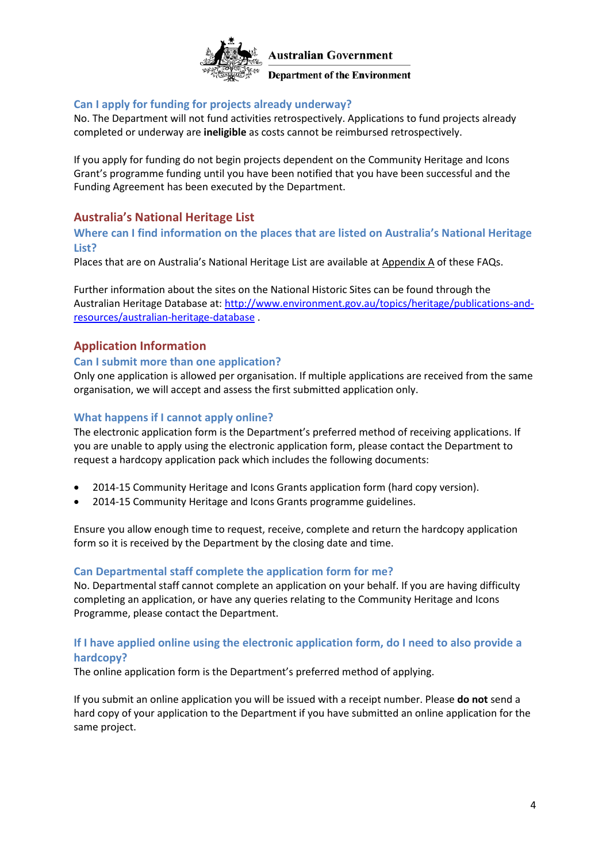

**Department of the Environment** 

### **[Can I apply for funding for projects already underway?](http://www.nrm.gov.au/funding/cag/faq.html)**

No. The Department will not fund activities retrospectively. Applications to fund projects already completed or underway are **ineligible** as costs cannot be reimbursed retrospectively.

If you apply for funding do not begin projects dependent on the Community Heritage and Icons Grant's programme funding until you have been notified that you have been successful and the Funding Agreement has been executed by the Department.

# **Australia's National Heritage List**

#### **[Where can I find information on the places that are listed on Australia's National Heritage](http://www.nrm.gov.au/funding/cag/faq.html)  [List?](http://www.nrm.gov.au/funding/cag/faq.html)**

Places that are on Australia's National Heritage List are available at Appendix A of these FAQs.

Further information about the sites on the National Historic Sites can be found through the Australian Heritage Database at: [http://www.environment.gov.au/topics/heritage/publications-and](http://www.environment.gov.au/topics/heritage/publications-and-resources/australian-heritage-database)[resources/australian-heritage-database](http://www.environment.gov.au/topics/heritage/publications-and-resources/australian-heritage-database) .

# **Application Information**

#### **Can I submit more than one application?**

Only one application is allowed per organisation. If multiple applications are received from the same organisation, we will accept and assess the first submitted application only.

#### **[What happens if I cannot apply online?](http://www.nrm.gov.au/funding/cag/faq.html)**

The electronic application form is the Department's preferred method of receiving applications. If you are unable to apply using the electronic application form, please contact the Department to request a hardcopy application pack which includes the following documents:

- 2014-15 Community Heritage and Icons Grants application form (hard copy version).
- 2014-15 Community Heritage and Icons Grants programme guidelines.

Ensure you allow enough time to request, receive, complete and return the hardcopy application form so it is received by the Department by the closing date and time.

#### **Can Departmental [staff complete the application form for me?](http://www.nrm.gov.au/funding/cag/faq.html)**

No. Departmental staff cannot complete an application on your behalf. If you are having difficulty completing an application, or have any queries relating to the Community Heritage and Icons Programme, please contact the Department.

#### **If I have applied online using the electronic application form, do I need to also provide a hardcopy?**

The online application form is the Department's preferred method of applying.

If you submit an online application you will be issued with a receipt number. Please **do not** send a hard copy of your application to the Department if you have submitted an online application for the same project.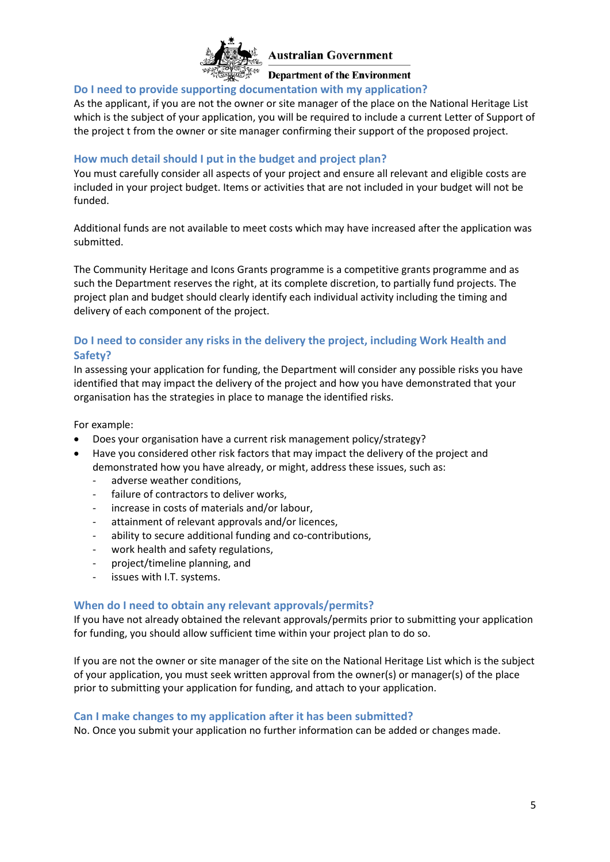

**Department of the Environment** 

#### **[Do I need to provide supporting documentation](http://www.nrm.gov.au/funding/cag/faq.html) with my application?**

As the applicant, if you are not the owner or site manager of the place on the National Heritage List which is the subject of your application, you will be required to include a current Letter of Support of the project t from the owner or site manager confirming their support of the proposed project.

#### **How much detail should I put in the budget and project plan?**

You must carefully consider all aspects of your project and ensure all relevant and eligible costs are included in your project budget. Items or activities that are not included in your budget will not be funded.

Additional funds are not available to meet costs which may have increased after the application was submitted.

The Community Heritage and Icons Grants programme is a competitive grants programme and as such the Department reserves the right, at its complete discretion, to partially fund projects. The project plan and budget should clearly identify each individual activity including the timing and delivery of each component of the project.

### **Do I need to consider any risks in the delivery the project, including Work Health and Safety?**

In assessing your application for funding, the Department will consider any possible risks you have identified that may impact the delivery of the project and how you have demonstrated that your organisation has the strategies in place to manage the identified risks.

For example:

- Does your organisation have a current risk management policy/strategy?
- Have you considered other risk factors that may impact the delivery of the project and demonstrated how you have already, or might, address these issues, such as:
	- adverse weather conditions,
	- failure of contractors to deliver works,
	- increase in costs of materials and/or labour,
	- attainment of relevant approvals and/or licences,
	- ability to secure additional funding and co-contributions,
	- work health and safety regulations,
	- project/timeline planning, and
	- issues with I.T. systems.

#### **When do I need to obtain any relevant approvals/permits?**

If you have not already obtained the relevant approvals/permits prior to submitting your application for funding, you should allow sufficient time within your project plan to do so.

If you are not the owner or site manager of the site on the National Heritage List which is the subject of your application, you must seek written approval from the owner(s) or manager(s) of the place prior to submitting your application for funding, and attach to your application.

#### **Can I make changes to my application after it has been submitted?**

No. Once you submit your application no further information can be added or changes made.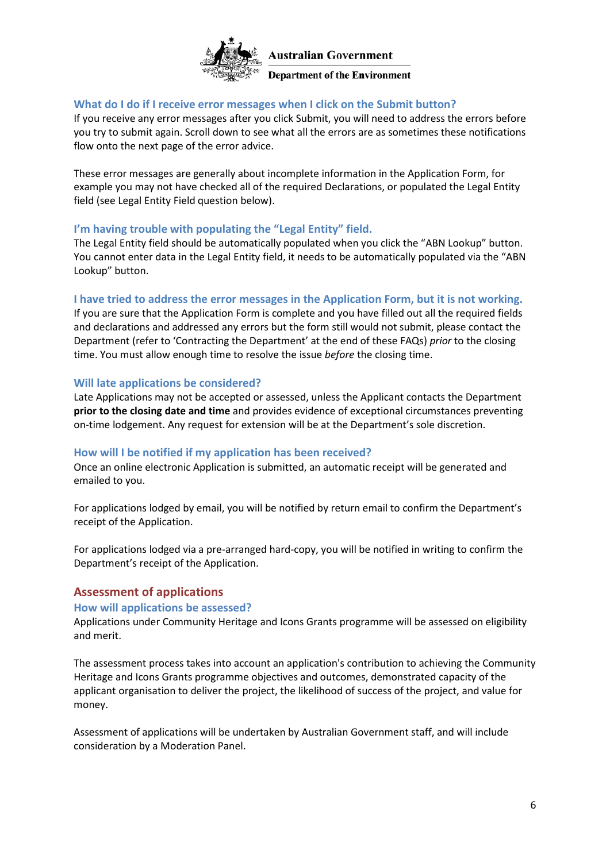

#### **Department of the Environment**

#### **What do I do if I receive error messages when I click on the Submit button?**

If you receive any error messages after you click Submit, you will need to address the errors before you try to submit again. Scroll down to see what all the errors are as sometimes these notifications flow onto the next page of the error advice.

These error messages are generally about incomplete information in the Application Form, for example you may not have checked all of the required Declarations, or populated the Legal Entity field (see Legal Entity Field question below).

#### **I'm having trouble with populating the "Legal Entity" field.**

The Legal Entity field should be automatically populated when you click the "ABN Lookup" button. You cannot enter data in the Legal Entity field, it needs to be automatically populated via the "ABN Lookup" button.

#### **I have tried to address the error messages in the Application Form, but it is not working.**

If you are sure that the Application Form is complete and you have filled out all the required fields and declarations and addressed any errors but the form still would not submit, please contact the Department (refer to 'Contracting the Department' at the end of these FAQs) *prior* to the closing time. You must allow enough time to resolve the issue *before* the closing time.

#### **Will late applications be considered?**

Late Applications may not be accepted or assessed, unless the Applicant contacts the Department **prior to the closing date and time** and provides evidence of exceptional circumstances preventing on-time lodgement. Any request for extension will be at the Department's sole discretion.

#### **How will I be notified if my application has been received?**

Once an online electronic Application is submitted, an automatic receipt will be generated and emailed to you.

For applications lodged by email, you will be notified by return email to confirm the Department's receipt of the Application.

For applications lodged via a pre-arranged hard-copy, you will be notified in writing to confirm the Department's receipt of the Application.

### **Assessment of applications**

#### **How will applications be assessed?**

Applications under Community Heritage and Icons Grants programme will be assessed on eligibility and merit.

The assessment process takes into account an application's contribution to achieving the Community Heritage and Icons Grants programme objectives and outcomes, demonstrated capacity of the applicant organisation to deliver the project, the likelihood of success of the project, and value for money.

Assessment of applications will be undertaken by Australian Government staff, and will include consideration by a Moderation Panel.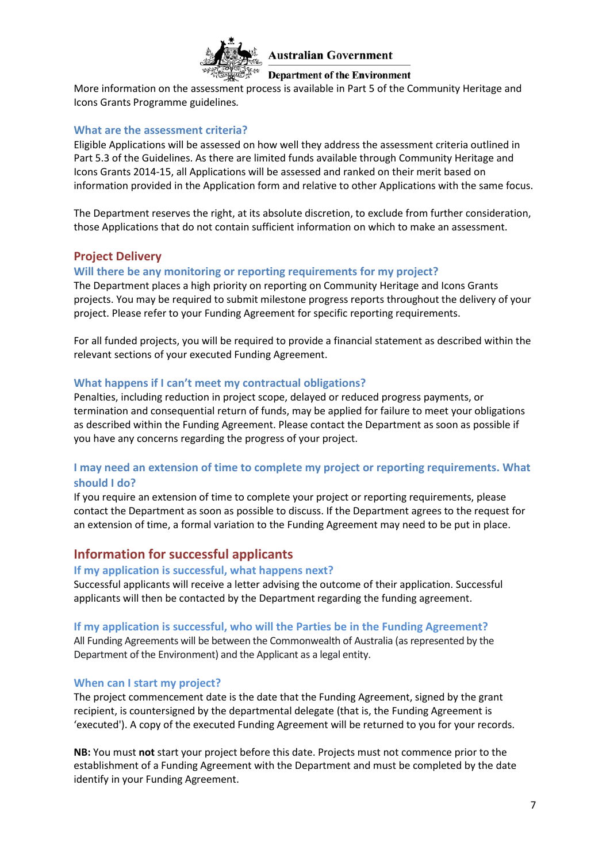

#### **Department of the Environment**

More information on the assessment process is available in Part 5 of the Community Heritage and Icons Grants Programme guidelines*.*

#### **What are the assessment criteria?**

Eligible Applications will be assessed on how well they address the assessment criteria outlined in Part 5.3 of the Guidelines. As there are limited funds available through Community Heritage and Icons Grants 2014-15, all Applications will be assessed and ranked on their merit based on information provided in the Application form and relative to other Applications with the same focus.

The Department reserves the right, at its absolute discretion, to exclude from further consideration, those Applications that do not contain sufficient information on which to make an assessment.

#### **Project Delivery**

#### **Will there be any monitoring or reporting requirements for my project?**

The Department places a high priority on reporting on Community Heritage and Icons Grants projects. You may be required to submit milestone progress reports throughout the delivery of your project. Please refer to your Funding Agreement for specific reporting requirements.

For all funded projects, you will be required to provide a financial statement as described within the relevant sections of your executed Funding Agreement.

#### **What happens if I can't meet my contractual obligations?**

Penalties, including reduction in project scope, delayed or reduced progress payments, or termination and consequential return of funds, may be applied for failure to meet your obligations as described within the Funding Agreement. Please contact the Department as soon as possible if you have any concerns regarding the progress of your project.

#### **I may need an extension of time to complete my project or reporting requirements. What should I do?**

If you require an extension of time to complete your project or reporting requirements, please contact the Department as soon as possible to discuss. If the Department agrees to the request for an extension of time, a formal variation to the Funding Agreement may need to be put in place.

# **Information for successful applicants**

#### **If my application is successful, what happens next?**

Successful applicants will receive a letter advising the outcome of their application. Successful applicants will then be contacted by the Department regarding the funding agreement.

#### **If my application is successful, who will the Parties be in the Funding Agreement?**

All Funding Agreements will be between the Commonwealth of Australia (as represented by the Department of the Environment) and the Applicant as a legal entity.

#### **When can I start my project?**

The project commencement date is the date that the Funding Agreement, signed by the grant recipient, is countersigned by the departmental delegate (that is, the Funding Agreement is 'executed'). A copy of the executed Funding Agreement will be returned to you for your records.

**NB:** You must **not** start your project before this date. Projects must not commence prior to the establishment of a Funding Agreement with the Department and must be completed by the date identify in your Funding Agreement.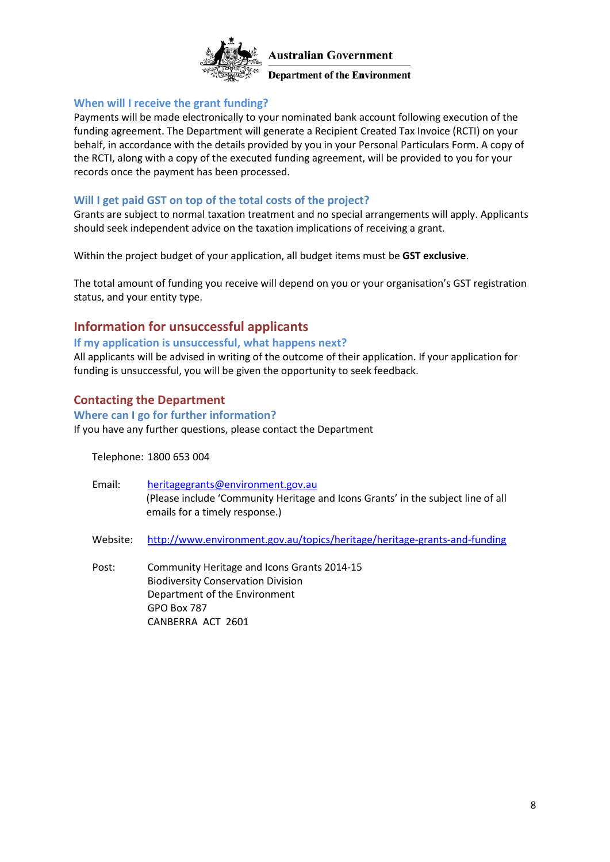

**Department of the Environment** 

#### **When will I receive the grant funding?**

Payments will be made electronically to your nominated bank account following execution of the funding agreement. The Department will generate a Recipient Created Tax Invoice (RCTI) on your behalf, in accordance with the details provided by you in your Personal Particulars Form. A copy of the RCTI, along with a copy of the executed funding agreement, will be provided to you for your records once the payment has been processed.

#### **Will I get paid GST on top of the total costs of the project?**

Grants are subject to normal taxation treatment and no special arrangements will apply. Applicants should seek independent advice on the taxation implications of receiving a grant.

Within the project budget of your application, all budget items must be **GST exclusive**.

The total amount of funding you receive will depend on you or your organisation's GST registration status, and your entity type.

# **Information for unsuccessful applicants**

#### **If my application is unsuccessful, what happens next?**

All applicants will be advised in writing of the outcome of their application. If your application for funding is unsuccessful, you will be given the opportunity to seek feedback.

### **Contacting the Department**

# **Where can I go for further information?**

CANBERRA ACT 2601

If you have any further questions, please contact the Department

Telephone: 1800 653 004

| Email:   | heritagegrants@environment.gov.au<br>(Please include 'Community Heritage and Icons Grants' in the subject line of all<br>emails for a timely response.) |
|----------|---------------------------------------------------------------------------------------------------------------------------------------------------------|
| Website: | http://www.environment.gov.au/topics/heritage/heritage-grants-and-funding                                                                               |
| Post:    | Community Heritage and Icons Grants 2014-15<br><b>Biodiversity Conservation Division</b><br>Department of the Environment<br>GPO Box 787                |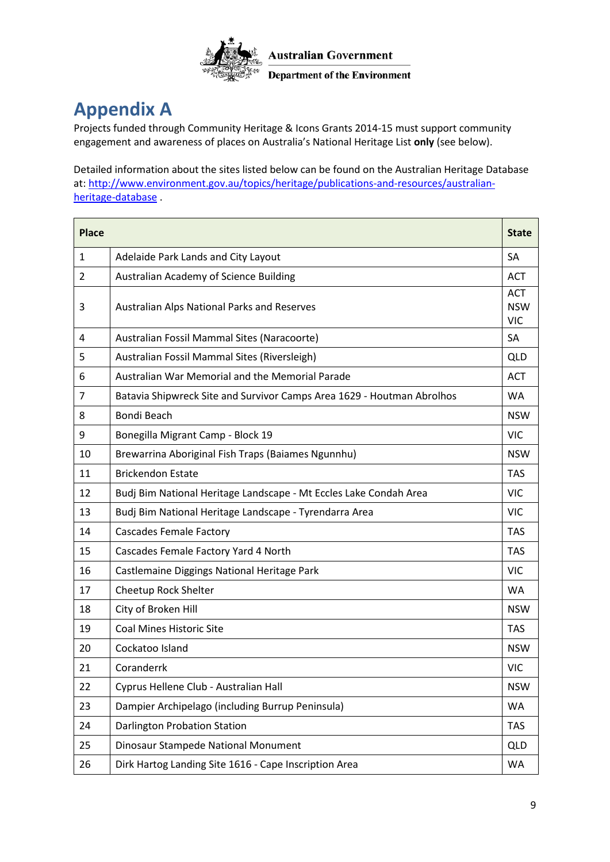

# <span id="page-8-0"></span>**Appendix A**

Projects funded through Community Heritage & Icons Grants 2014-15 must support community engagement and awareness of places on Australia's National Heritage List **only** (see below).

Detailed information about the sites listed below can be found on the Australian Heritage Database at: [http://www.environment.gov.au/topics/heritage/publications-and-resources/australian](http://www.environment.gov.au/topics/heritage/publications-and-resources/australian-heritage-database)[heritage-database](http://www.environment.gov.au/topics/heritage/publications-and-resources/australian-heritage-database) .

| <b>Place</b> |                                                                        | <b>State</b>                           |
|--------------|------------------------------------------------------------------------|----------------------------------------|
| $\mathbf{1}$ | Adelaide Park Lands and City Layout                                    | <b>SA</b>                              |
| 2            | Australian Academy of Science Building                                 | <b>ACT</b>                             |
| 3            | Australian Alps National Parks and Reserves                            | <b>ACT</b><br><b>NSW</b><br><b>VIC</b> |
| 4            | Australian Fossil Mammal Sites (Naracoorte)                            | SA                                     |
| 5            | Australian Fossil Mammal Sites (Riversleigh)                           | QLD                                    |
| 6            | Australian War Memorial and the Memorial Parade                        | <b>ACT</b>                             |
| 7            | Batavia Shipwreck Site and Survivor Camps Area 1629 - Houtman Abrolhos | <b>WA</b>                              |
| 8            | Bondi Beach                                                            | <b>NSW</b>                             |
| 9            | Bonegilla Migrant Camp - Block 19                                      | <b>VIC</b>                             |
| 10           | Brewarrina Aboriginal Fish Traps (Baiames Ngunnhu)                     | <b>NSW</b>                             |
| 11           | <b>Brickendon Estate</b>                                               | <b>TAS</b>                             |
| 12           | Budj Bim National Heritage Landscape - Mt Eccles Lake Condah Area      | <b>VIC</b>                             |
| 13           | Budj Bim National Heritage Landscape - Tyrendarra Area                 | <b>VIC</b>                             |
| 14           | <b>Cascades Female Factory</b>                                         | <b>TAS</b>                             |
| 15           | Cascades Female Factory Yard 4 North                                   | <b>TAS</b>                             |
| 16           | Castlemaine Diggings National Heritage Park                            | <b>VIC</b>                             |
| 17           | Cheetup Rock Shelter                                                   | <b>WA</b>                              |
| 18           | City of Broken Hill                                                    | <b>NSW</b>                             |
| 19           | <b>Coal Mines Historic Site</b>                                        | <b>TAS</b>                             |
| 20           | Cockatoo Island                                                        | <b>NSW</b>                             |
| 21           | Coranderrk                                                             | <b>VIC</b>                             |
| 22           | Cyprus Hellene Club - Australian Hall                                  | <b>NSW</b>                             |
| 23           | Dampier Archipelago (including Burrup Peninsula)                       | WA                                     |
| 24           | Darlington Probation Station                                           | <b>TAS</b>                             |
| 25           | Dinosaur Stampede National Monument                                    | QLD                                    |
| 26           | Dirk Hartog Landing Site 1616 - Cape Inscription Area                  | WA                                     |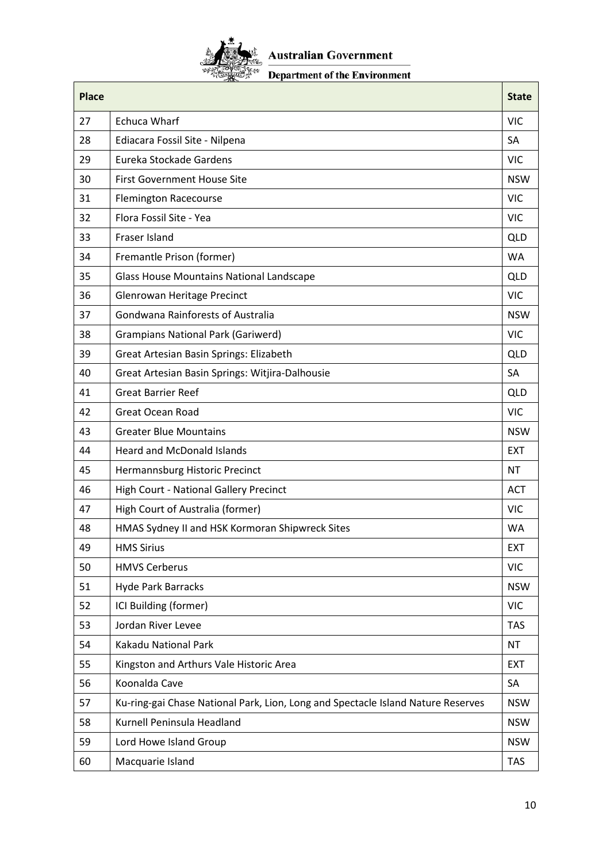

# Department of the Environment

| <b>Place</b> |                                                                                  | <b>State</b> |
|--------------|----------------------------------------------------------------------------------|--------------|
| 27           | <b>Echuca Wharf</b>                                                              | <b>VIC</b>   |
| 28           | Ediacara Fossil Site - Nilpena                                                   | SA           |
| 29           | Eureka Stockade Gardens                                                          | <b>VIC</b>   |
| 30           | <b>First Government House Site</b>                                               | <b>NSW</b>   |
| 31           | <b>Flemington Racecourse</b>                                                     | <b>VIC</b>   |
| 32           | Flora Fossil Site - Yea                                                          | <b>VIC</b>   |
| 33           | Fraser Island                                                                    | QLD          |
| 34           | Fremantle Prison (former)                                                        | <b>WA</b>    |
| 35           | <b>Glass House Mountains National Landscape</b>                                  | QLD          |
| 36           | Glenrowan Heritage Precinct                                                      | <b>VIC</b>   |
| 37           | Gondwana Rainforests of Australia                                                | <b>NSW</b>   |
| 38           | <b>Grampians National Park (Gariwerd)</b>                                        | <b>VIC</b>   |
| 39           | Great Artesian Basin Springs: Elizabeth                                          | QLD          |
| 40           | Great Artesian Basin Springs: Witjira-Dalhousie                                  | SA           |
| 41           | <b>Great Barrier Reef</b>                                                        | QLD          |
| 42           | <b>Great Ocean Road</b>                                                          | <b>VIC</b>   |
| 43           | <b>Greater Blue Mountains</b>                                                    | <b>NSW</b>   |
| 44           | <b>Heard and McDonald Islands</b>                                                | <b>EXT</b>   |
| 45           | Hermannsburg Historic Precinct                                                   | <b>NT</b>    |
| 46           | High Court - National Gallery Precinct                                           | <b>ACT</b>   |
| 47           | High Court of Australia (former)                                                 | <b>VIC</b>   |
| 48           | HMAS Sydney II and HSK Kormoran Shipwreck Sites                                  | WA           |
| 49           | <b>HMS Sirius</b>                                                                | <b>EXT</b>   |
| 50           | <b>HMVS Cerberus</b>                                                             | <b>VIC</b>   |
| 51           | <b>Hyde Park Barracks</b>                                                        | <b>NSW</b>   |
| 52           | ICI Building (former)                                                            | <b>VIC</b>   |
| 53           | Jordan River Levee                                                               | <b>TAS</b>   |
| 54           | Kakadu National Park                                                             | <b>NT</b>    |
| 55           | Kingston and Arthurs Vale Historic Area                                          | <b>EXT</b>   |
| 56           | Koonalda Cave                                                                    | SA           |
| 57           | Ku-ring-gai Chase National Park, Lion, Long and Spectacle Island Nature Reserves | <b>NSW</b>   |
| 58           | Kurnell Peninsula Headland                                                       | <b>NSW</b>   |
| 59           | Lord Howe Island Group                                                           | <b>NSW</b>   |
| 60           | Macquarie Island                                                                 | <b>TAS</b>   |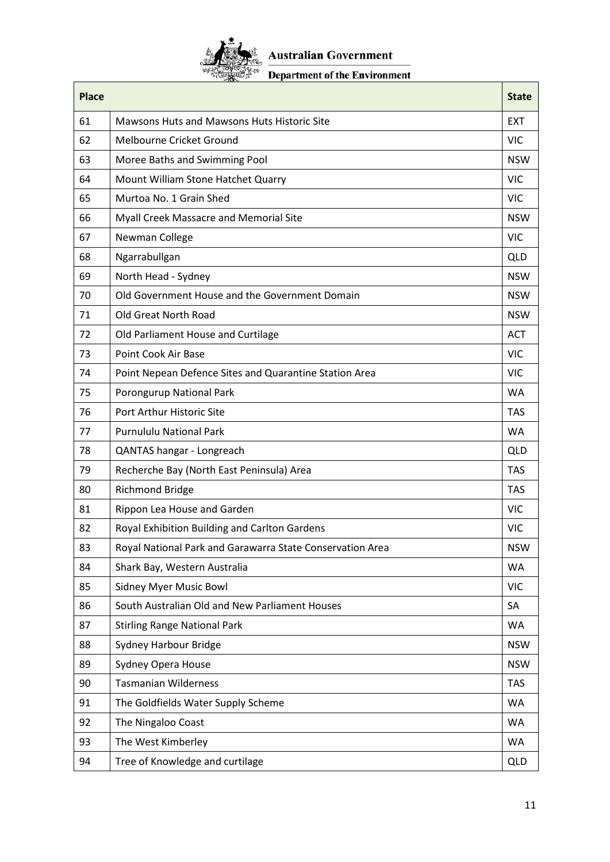

# Department of the Environment

| <b>Place</b> |                                                           | <b>State</b> |
|--------------|-----------------------------------------------------------|--------------|
| 61           | Mawsons Huts and Mawsons Huts Historic Site               | <b>FXT</b>   |
| 62           | Melbourne Cricket Ground                                  | <b>VIC</b>   |
| 63           | Moree Baths and Swimming Pool                             | <b>NSW</b>   |
| 64           | Mount William Stone Hatchet Quarry                        | <b>VIC</b>   |
| 65           | Murtoa No. 1 Grain Shed                                   | <b>VIC</b>   |
| 66           | Myall Creek Massacre and Memorial Site                    | <b>NSW</b>   |
| 67           | Newman College                                            | <b>VIC</b>   |
| 68           | Ngarrabullgan                                             | <b>QLD</b>   |
| 69           | North Head - Sydney                                       | <b>NSW</b>   |
| 70           | Old Government House and the Government Domain            | <b>NSW</b>   |
| 71           | Old Great North Road                                      | <b>NSW</b>   |
| 72           | Old Parliament House and Curtilage                        | <b>ACT</b>   |
| 73           | Point Cook Air Base                                       | <b>VIC</b>   |
| 74           | Point Nepean Defence Sites and Quarantine Station Area    | <b>VIC</b>   |
| 75           | Porongurup National Park                                  | <b>WA</b>    |
| 76           | Port Arthur Historic Site                                 | <b>TAS</b>   |
| 77           | <b>Purnululu National Park</b>                            | <b>WA</b>    |
| 78           | QANTAS hangar - Longreach                                 | <b>QLD</b>   |
| 79           | Recherche Bay (North East Peninsula) Area                 | <b>TAS</b>   |
| 80           | <b>Richmond Bridge</b>                                    | <b>TAS</b>   |
| 81           | Rippon Lea House and Garden                               | <b>VIC</b>   |
| 82           | Royal Exhibition Building and Carlton Gardens             | <b>VIC</b>   |
| 83           | Royal National Park and Garawarra State Conservation Area | <b>NSW</b>   |
| 84           | Shark Bay, Western Australia                              | <b>WA</b>    |
| 85           | <b>Sidney Myer Music Bowl</b>                             | <b>VIC</b>   |
| 86           | South Australian Old and New Parliament Houses            | SA           |
| 87           | <b>Stirling Range National Park</b>                       | WA           |
| 88           | Sydney Harbour Bridge                                     | <b>NSW</b>   |
| 89           | Sydney Opera House                                        | <b>NSW</b>   |
| 90           | <b>Tasmanian Wilderness</b>                               | <b>TAS</b>   |
| 91           | The Goldfields Water Supply Scheme                        | WA           |
| 92           | The Ningaloo Coast                                        | WA           |
| 93           | The West Kimberley                                        | <b>WA</b>    |
| 94           | Tree of Knowledge and curtilage                           | QLD          |